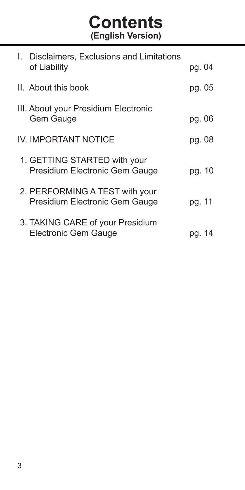**Contents (English Version)**

| I. Disclaimers, Exclusions and Limitations<br>of Liability       | pg. 04 |
|------------------------------------------------------------------|--------|
| II. About this book                                              | pg. 05 |
| III. About your Presidium Electronic<br>Gem Gauge                | pg. 06 |
| <b>IV. IMPORTANT NOTICE</b>                                      | pg. 08 |
| 1. GETTING STARTED with your<br>Presidium Electronic Gem Gauge   | pg. 10 |
| 2. PERFORMING A TEST with your<br>Presidium Electronic Gem Gauge | pg. 11 |
| 3. TAKING CARE of your Presidium<br>Electronic Gem Gauge         | pg. 1  |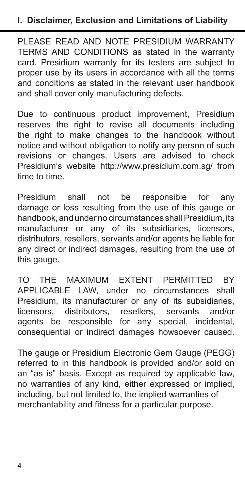PLEASE READ AND NOTE PRESIDIUM WARRANTY TERMS AND CONDITIONS as stated in the warranty card. Presidium warranty for its testers are subject to proper use by its users in accordance with all the terms and conditions as stated in the relevant user handbook and shall cover only manufacturing defects.

Due to continuous product improvement, Presidium reserves the right to revise all documents including the right to make changes to the handbook without notice and without obligation to notify any person of such revisions or changes. Users are advised to check Presidium's website http://www.presidium.com.sg/ from time to time.

Presidium shall not be responsible for any damage or loss resulting from the use of this gauge or handbook, and under no circumstances shall Presidium, its manufacturer or any of its subsidiaries, licensors, distributors, resellers, servants and/or agents be liable for any direct or indirect damages, resulting from the use of this gauge.

TO THE MAXIMUM EXTENT PERMITTED BY APPLICABLE LAW, under no circumstances shall Presidium, its manufacturer or any of its subsidiaries,<br>licensors distributors resellers servants and/or licensors, distributors, resellers, servants and/or agents be responsible for any special, incidental, consequential or indirect damages howsoever caused.

The gauge or Presidium Electronic Gem Gauge (PEGG) referred to in this handbook is provided and/or sold on an "as is" basis. Except as required by applicable law, no warranties of any kind, either expressed or implied, including, but not limited to, the implied warranties of merchantability and fitness for a particular purpose.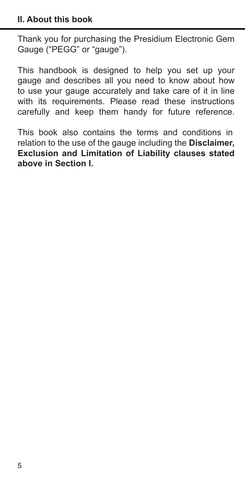Thank you for purchasing the Presidium Electronic Gem Gauge ("PEGG" or "gauge").

This handbook is designed to help you set up your gauge and describes all you need to know about how to use your gauge accurately and take care of it in line with its requirements. Please read these instructions carefully and keep them handy for future reference.

This book also contains the terms and conditions in relation to the use of the gauge including the **Disclaimer, Exclusion and Limitation of Liability clauses stated above in Section I.**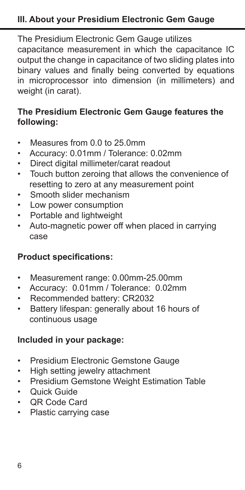## **III. About your Presidium Electronic Gem Gauge**

The Presidium Electronic Gem Gauge utilizes capacitance measurement in which the capacitance IC output the change in capacitance of two sliding plates into binary values and finally being converted by equations in microprocessor into dimension (in millimeters) and weight (in carat).

## **The Presidium Electronic Gem Gauge features the following:**

- Measures from 0.0 to 25.0mm
- Accuracy: 0.01mm / Tolerance: 0.02mm
- Direct digital millimeter/carat readout
- Touch button zeroing that allows the convenience of resetting to zero at any measurement point
- Smooth slider mechanism
- Low power consumption
- Portable and lightweight
- Auto-magnetic power off when placed in carrying case

### **Product specifications:**

- Measurement range: 0.00mm-25.00mm
- Accuracy: 0.01mm / Tolerance: 0.02mm
- Recommended battery: CR2032
- Battery lifespan: generally about 16 hours of continuous usage

## **Included in your package:**

- Presidium Electronic Gemstone Gauge
- High setting jewelry attachment
- Presidium Gemstone Weight Estimation Table
- Quick Guide
- QR Code Card
- Plastic carrying case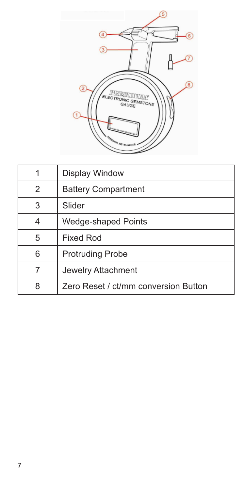

| 1              | Display Window                       |
|----------------|--------------------------------------|
| $\overline{2}$ | <b>Battery Compartment</b>           |
| 3              | Slider                               |
|                | Wedge-shaped Points                  |
| 5              | <b>Fixed Rod</b>                     |
| 6              | <b>Protruding Probe</b>              |
|                | Jewelry Attachment                   |
| 8              | Zero Reset / ct/mm conversion Button |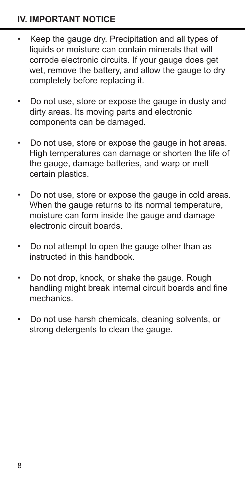## **IV. IMPORTANT NOTICE**

- Keep the gauge dry. Precipitation and all types of liquids or moisture can contain minerals that will corrode electronic circuits. If your gauge does get wet, remove the battery, and allow the gauge to dry completely before replacing it.
- Do not use, store or expose the gauge in dusty and dirty areas. Its moving parts and electronic components can be damaged.
- Do not use, store or expose the gauge in hot areas. High temperatures can damage or shorten the life of the gauge, damage batteries, and warp or melt certain plastics.
- Do not use, store or expose the gauge in cold areas. When the gauge returns to its normal temperature. moisture can form inside the gauge and damage electronic circuit boards.
- Do not attempt to open the gauge other than as instructed in this handbook.
- Do not drop, knock, or shake the gauge. Rough handling might break internal circuit boards and fine mechanics.
- Do not use harsh chemicals, cleaning solvents, or strong detergents to clean the gauge.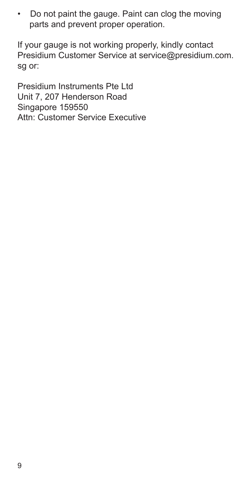• Do not paint the gauge. Paint can clog the moving parts and prevent proper operation.

If your gauge is not working properly, kindly contact Presidium Customer Service at service@presidium.com. sg or:

Presidium Instruments Pte Ltd Unit 7, 207 Henderson Road Singapore 159550 Attn: Customer Service Executive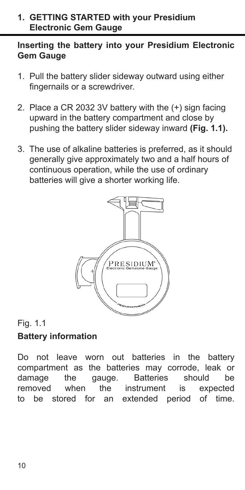#### **1. GETTING STARTED with your Presidium Electronic Gem Gauge**

### **Inserting the battery into your Presidium Electronic Gem Gauge**

- 1. Pull the battery slider sideway outward using either fingernails or a screwdriver.
- 2. Place a CR 2032 3V battery with the (+) sign facing upward in the battery compartment and close by pushing the battery slider sideway inward **(Fig. 1.1).**
- 3. The use of alkaline batteries is preferred, as it should generally give approximately two and a half hours of continuous operation, while the use of ordinary batteries will give a shorter working life.



# Fig. 1.1 **Battery information**

Do not leave worn out batteries in the battery compartment as the batteries may corrode, leak or damage the gauge. Batteries should be removed when the instrument is expected<br>to be stored for an extended period of time. extended period of time.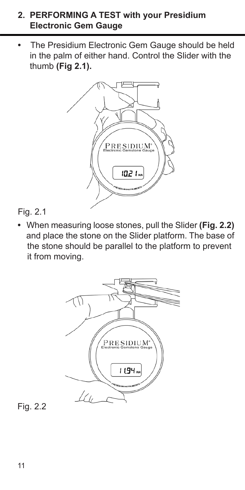#### **2. PERFORMING A TEST with your Presidium Electronic Gem Gauge**

**•** The Presidium Electronic Gem Gauge should be held in the palm of either hand. Control the Slider with the thumb **(Fig 2.1).**



### Fig. 2.1

**•** When measuring loose stones, pull the Slider **(Fig. 2.2)** and place the stone on the Slider platform. The base of the stone should be parallel to the platform to prevent it from moving.



Fig. 2.2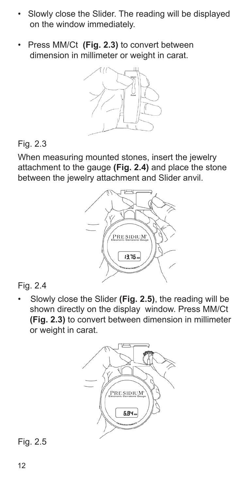- Slowly close the Slider. The reading will be displayed on the window immediately.
- Press MM/Ct **(Fig. 2.3)** to convert between dimension in millimeter or weight in carat.



## Fig. 2.3

When measuring mounted stones, insert the jewelry attachment to the gauge **(Fig. 2.4)** and place the stone between the jewelry attachment and Slider anvil.



## Fig. 2.4

• Slowly close the Slider **(Fig. 2.5)**, the reading will be shown directly on the display window. Press MM/Ct **(Fig. 2.3)** to convert between dimension in millimeter or weight in carat.



## Fig. 2.5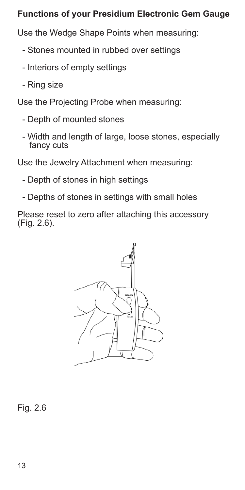### **Functions of your Presidium Electronic Gem Gauge**

Use the Wedge Shape Points when measuring:

- Stones mounted in rubbed over settings
- Interiors of empty settings
- Ring size

Use the Projecting Probe when measuring:

- Depth of mounted stones
- Width and length of large, loose stones, especially fancy cuts

Use the Jewelry Attachment when measuring:

- Depth of stones in high settings
- Depths of stones in settings with small holes

Please reset to zero after attaching this accessory (Fig. 2.6).



Fig. 2.6